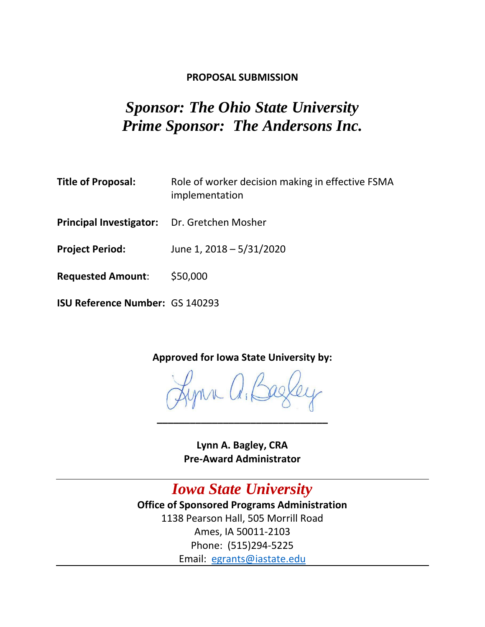### **PROPOSAL SUBMISSION**

# *Sponsor: The Ohio State University Prime Sponsor: The Andersons Inc.*

| <b>Title of Proposal:</b>              | Role of worker decision making in effective FSMA<br>implementation |
|----------------------------------------|--------------------------------------------------------------------|
| <b>Principal Investigator:</b>         | Dr. Gretchen Mosher                                                |
| <b>Project Period:</b>                 | June 1, 2018 - 5/31/2020                                           |
| <b>Requested Amount:</b>               | \$50,000                                                           |
| <b>ISU Reference Number: GS 140293</b> |                                                                    |

**Approved for Iowa State University by:**

**\_\_\_\_\_\_\_\_\_\_\_\_\_\_\_\_\_\_\_\_\_\_\_\_\_\_\_\_\_\_\_**

**Lynn A. Bagley, CRA Pre-Award Administrator**

*Iowa State University* **Office of Sponsored Programs Administration** 1138 Pearson Hall, 505 Morrill Road Ames, IA 50011-2103 Phone: (515)294-5225 Email: [egrants@iastate.edu](mailto:egrants@iastate.edu)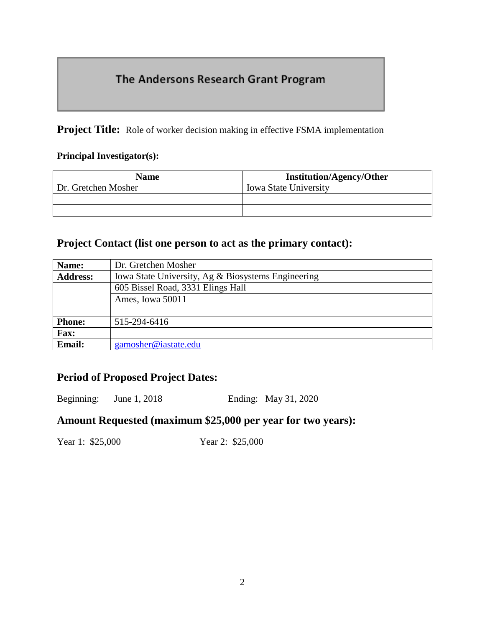# The Andersons Research Grant Program

**Project Title:** Role of worker decision making in effective FSMA implementation

#### **Principal Investigator(s):**

| <b>Name</b>         | <b>Institution/Agency/Other</b> |  |  |
|---------------------|---------------------------------|--|--|
| Dr. Gretchen Mosher | <b>Iowa State University</b>    |  |  |
|                     |                                 |  |  |
|                     |                                 |  |  |

### **Project Contact (list one person to act as the primary contact):**

| Name:           | Dr. Gretchen Mosher                                |  |  |
|-----------------|----------------------------------------------------|--|--|
| <b>Address:</b> | Iowa State University, Ag & Biosystems Engineering |  |  |
|                 | 605 Bissel Road, 3331 Elings Hall                  |  |  |
|                 | Ames, Iowa 50011                                   |  |  |
|                 |                                                    |  |  |
| <b>Phone:</b>   | 515-294-6416                                       |  |  |
| <b>Fax:</b>     |                                                    |  |  |
| <b>Email:</b>   | gamosher@iastate.edu                               |  |  |

### **Period of Proposed Project Dates:**

Beginning: June 1, 2018 Ending: May 31, 2020

### **Amount Requested (maximum \$25,000 per year for two years):**

Year 1: \$25,000 Year 2: \$25,000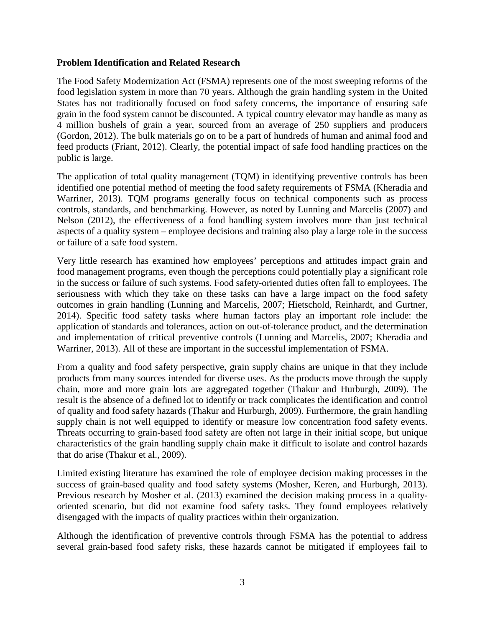#### **Problem Identification and Related Research**

The Food Safety Modernization Act (FSMA) represents one of the most sweeping reforms of the food legislation system in more than 70 years. Although the grain handling system in the United States has not traditionally focused on food safety concerns, the importance of ensuring safe grain in the food system cannot be discounted. A typical country elevator may handle as many as 4 million bushels of grain a year, sourced from an average of 250 suppliers and producers (Gordon, 2012). The bulk materials go on to be a part of hundreds of human and animal food and feed products (Friant, 2012). Clearly, the potential impact of safe food handling practices on the public is large.

The application of total quality management (TQM) in identifying preventive controls has been identified one potential method of meeting the food safety requirements of FSMA (Kheradia and Warriner, 2013). TQM programs generally focus on technical components such as process controls, standards, and benchmarking. However, as noted by Lunning and Marcelis (2007) and Nelson (2012), the effectiveness of a food handling system involves more than just technical aspects of a quality system – employee decisions and training also play a large role in the success or failure of a safe food system.

Very little research has examined how employees' perceptions and attitudes impact grain and food management programs, even though the perceptions could potentially play a significant role in the success or failure of such systems. Food safety-oriented duties often fall to employees. The seriousness with which they take on these tasks can have a large impact on the food safety outcomes in grain handling (Lunning and Marcelis, 2007; Hietschold, Reinhardt, and Gurtner, 2014). Specific food safety tasks where human factors play an important role include: the application of standards and tolerances, action on out-of-tolerance product, and the determination and implementation of critical preventive controls (Lunning and Marcelis, 2007; Kheradia and Warriner, 2013). All of these are important in the successful implementation of FSMA.

From a quality and food safety perspective, grain supply chains are unique in that they include products from many sources intended for diverse uses. As the products move through the supply chain, more and more grain lots are aggregated together (Thakur and Hurburgh, 2009). The result is the absence of a defined lot to identify or track complicates the identification and control of quality and food safety hazards (Thakur and Hurburgh, 2009). Furthermore, the grain handling supply chain is not well equipped to identify or measure low concentration food safety events. Threats occurring to grain-based food safety are often not large in their initial scope, but unique characteristics of the grain handling supply chain make it difficult to isolate and control hazards that do arise (Thakur et al., 2009).

Limited existing literature has examined the role of employee decision making processes in the success of grain-based quality and food safety systems (Mosher, Keren, and Hurburgh, 2013). Previous research by Mosher et al. (2013) examined the decision making process in a qualityoriented scenario, but did not examine food safety tasks. They found employees relatively disengaged with the impacts of quality practices within their organization.

Although the identification of preventive controls through FSMA has the potential to address several grain-based food safety risks, these hazards cannot be mitigated if employees fail to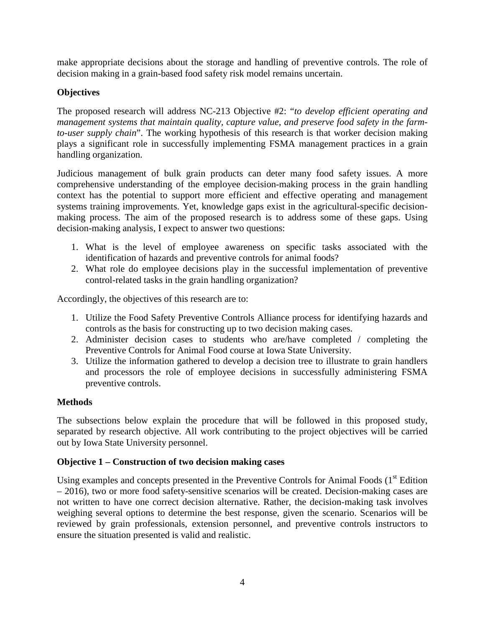make appropriate decisions about the storage and handling of preventive controls. The role of decision making in a grain-based food safety risk model remains uncertain.

### **Objectives**

The proposed research will address NC-213 Objective #2: "*to develop efficient operating and management systems that maintain quality, capture value, and preserve food safety in the farmto-user supply chain*". The working hypothesis of this research is that worker decision making plays a significant role in successfully implementing FSMA management practices in a grain handling organization.

Judicious management of bulk grain products can deter many food safety issues. A more comprehensive understanding of the employee decision-making process in the grain handling context has the potential to support more efficient and effective operating and management systems training improvements. Yet, knowledge gaps exist in the agricultural-specific decisionmaking process. The aim of the proposed research is to address some of these gaps. Using decision-making analysis, I expect to answer two questions:

- 1. What is the level of employee awareness on specific tasks associated with the identification of hazards and preventive controls for animal foods?
- 2. What role do employee decisions play in the successful implementation of preventive control-related tasks in the grain handling organization?

Accordingly, the objectives of this research are to:

- 1. Utilize the Food Safety Preventive Controls Alliance process for identifying hazards and controls as the basis for constructing up to two decision making cases.
- 2. Administer decision cases to students who are/have completed / completing the Preventive Controls for Animal Food course at Iowa State University.
- 3. Utilize the information gathered to develop a decision tree to illustrate to grain handlers and processors the role of employee decisions in successfully administering FSMA preventive controls.

### **Methods**

The subsections below explain the procedure that will be followed in this proposed study, separated by research objective. All work contributing to the project objectives will be carried out by Iowa State University personnel.

### **Objective 1 – Construction of two decision making cases**

Using examples and concepts presented in the Preventive Controls for Animal Foods  $(1<sup>st</sup> Edition)$ – 2016), two or more food safety-sensitive scenarios will be created. Decision-making cases are not written to have one correct decision alternative. Rather, the decision-making task involves weighing several options to determine the best response, given the scenario. Scenarios will be reviewed by grain professionals, extension personnel, and preventive controls instructors to ensure the situation presented is valid and realistic.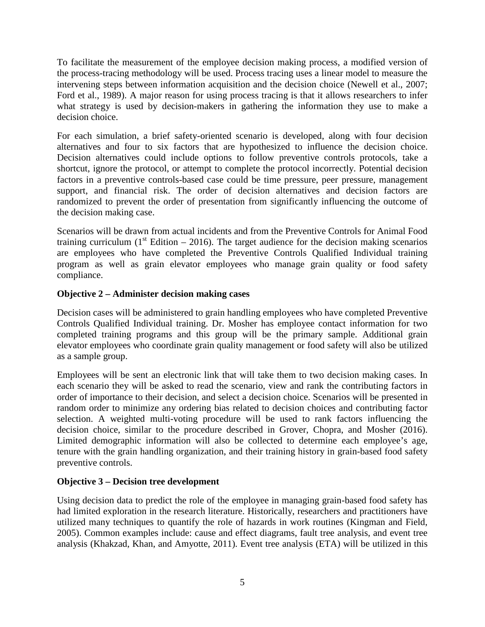To facilitate the measurement of the employee decision making process, a modified version of the process-tracing methodology will be used. Process tracing uses a linear model to measure the intervening steps between information acquisition and the decision choice (Newell et al., 2007; Ford et al., 1989). A major reason for using process tracing is that it allows researchers to infer what strategy is used by decision-makers in gathering the information they use to make a decision choice.

For each simulation, a brief safety-oriented scenario is developed, along with four decision alternatives and four to six factors that are hypothesized to influence the decision choice. Decision alternatives could include options to follow preventive controls protocols, take a shortcut, ignore the protocol, or attempt to complete the protocol incorrectly. Potential decision factors in a preventive controls-based case could be time pressure, peer pressure, management support, and financial risk. The order of decision alternatives and decision factors are randomized to prevent the order of presentation from significantly influencing the outcome of the decision making case.

Scenarios will be drawn from actual incidents and from the Preventive Controls for Animal Food training curriculum ( $1<sup>st</sup>$  Edition – 2016). The target audience for the decision making scenarios are employees who have completed the Preventive Controls Qualified Individual training program as well as grain elevator employees who manage grain quality or food safety compliance.

#### **Objective 2 – Administer decision making cases**

Decision cases will be administered to grain handling employees who have completed Preventive Controls Qualified Individual training. Dr. Mosher has employee contact information for two completed training programs and this group will be the primary sample. Additional grain elevator employees who coordinate grain quality management or food safety will also be utilized as a sample group.

Employees will be sent an electronic link that will take them to two decision making cases. In each scenario they will be asked to read the scenario, view and rank the contributing factors in order of importance to their decision, and select a decision choice. Scenarios will be presented in random order to minimize any ordering bias related to decision choices and contributing factor selection. A weighted multi-voting procedure will be used to rank factors influencing the decision choice, similar to the procedure described in Grover, Chopra, and Mosher (2016). Limited demographic information will also be collected to determine each employee's age, tenure with the grain handling organization, and their training history in grain-based food safety preventive controls.

#### **Objective 3 – Decision tree development**

Using decision data to predict the role of the employee in managing grain-based food safety has had limited exploration in the research literature. Historically, researchers and practitioners have utilized many techniques to quantify the role of hazards in work routines (Kingman and Field, 2005). Common examples include: cause and effect diagrams, fault tree analysis, and event tree analysis (Khakzad, Khan, and Amyotte, 2011). Event tree analysis (ETA) will be utilized in this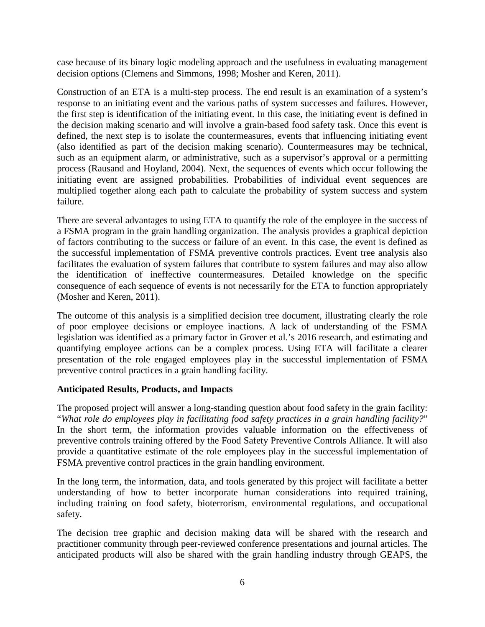case because of its binary logic modeling approach and the usefulness in evaluating management decision options (Clemens and Simmons, 1998; Mosher and Keren, 2011).

Construction of an ETA is a multi-step process. The end result is an examination of a system's response to an initiating event and the various paths of system successes and failures. However, the first step is identification of the initiating event. In this case, the initiating event is defined in the decision making scenario and will involve a grain-based food safety task. Once this event is defined, the next step is to isolate the countermeasures, events that influencing initiating event (also identified as part of the decision making scenario). Countermeasures may be technical, such as an equipment alarm, or administrative, such as a supervisor's approval or a permitting process (Rausand and Hoyland, 2004). Next, the sequences of events which occur following the initiating event are assigned probabilities. Probabilities of individual event sequences are multiplied together along each path to calculate the probability of system success and system failure.

There are several advantages to using ETA to quantify the role of the employee in the success of a FSMA program in the grain handling organization. The analysis provides a graphical depiction of factors contributing to the success or failure of an event. In this case, the event is defined as the successful implementation of FSMA preventive controls practices. Event tree analysis also facilitates the evaluation of system failures that contribute to system failures and may also allow the identification of ineffective countermeasures. Detailed knowledge on the specific consequence of each sequence of events is not necessarily for the ETA to function appropriately (Mosher and Keren, 2011).

The outcome of this analysis is a simplified decision tree document, illustrating clearly the role of poor employee decisions or employee inactions. A lack of understanding of the FSMA legislation was identified as a primary factor in Grover et al.'s 2016 research, and estimating and quantifying employee actions can be a complex process. Using ETA will facilitate a clearer presentation of the role engaged employees play in the successful implementation of FSMA preventive control practices in a grain handling facility.

#### **Anticipated Results, Products, and Impacts**

The proposed project will answer a long-standing question about food safety in the grain facility: "*What role do employees play in facilitating food safety practices in a grain handling facility?*" In the short term, the information provides valuable information on the effectiveness of preventive controls training offered by the Food Safety Preventive Controls Alliance. It will also provide a quantitative estimate of the role employees play in the successful implementation of FSMA preventive control practices in the grain handling environment.

In the long term, the information, data, and tools generated by this project will facilitate a better understanding of how to better incorporate human considerations into required training, including training on food safety, bioterrorism, environmental regulations, and occupational safety.

The decision tree graphic and decision making data will be shared with the research and practitioner community through peer-reviewed conference presentations and journal articles. The anticipated products will also be shared with the grain handling industry through GEAPS, the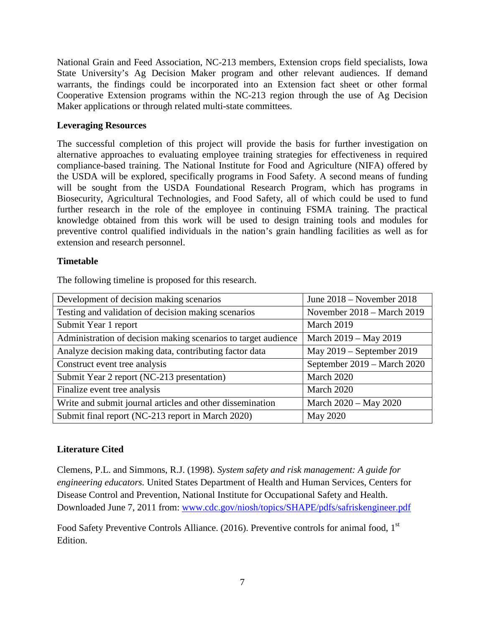National Grain and Feed Association, NC-213 members, Extension crops field specialists, Iowa State University's Ag Decision Maker program and other relevant audiences. If demand warrants, the findings could be incorporated into an Extension fact sheet or other formal Cooperative Extension programs within the NC-213 region through the use of Ag Decision Maker applications or through related multi-state committees.

#### **Leveraging Resources**

The successful completion of this project will provide the basis for further investigation on alternative approaches to evaluating employee training strategies for effectiveness in required compliance-based training. The National Institute for Food and Agriculture (NIFA) offered by the USDA will be explored, specifically programs in Food Safety. A second means of funding will be sought from the USDA Foundational Research Program, which has programs in Biosecurity, Agricultural Technologies, and Food Safety, all of which could be used to fund further research in the role of the employee in continuing FSMA training. The practical knowledge obtained from this work will be used to design training tools and modules for preventive control qualified individuals in the nation's grain handling facilities as well as for extension and research personnel.

#### **Timetable**

The following timeline is proposed for this research.

| Development of decision making scenarios                       | June $2018$ – November 2018 |
|----------------------------------------------------------------|-----------------------------|
| Testing and validation of decision making scenarios            | November 2018 – March 2019  |
| Submit Year 1 report                                           | March 2019                  |
| Administration of decision making scenarios to target audience | March 2019 – May 2019       |
| Analyze decision making data, contributing factor data         | May 2019 – September 2019   |
| Construct event tree analysis                                  | September 2019 – March 2020 |
| Submit Year 2 report (NC-213 presentation)                     | March 2020                  |
| Finalize event tree analysis                                   | March 2020                  |
| Write and submit journal articles and other dissemination      | March 2020 - May 2020       |
| Submit final report (NC-213 report in March 2020)              | May 2020                    |

#### **Literature Cited**

Clemens, P.L. and Simmons, R.J. (1998). *System safety and risk management: A guide for engineering educators.* United States Department of Health and Human Services, Centers for Disease Control and Prevention, National Institute for Occupational Safety and Health. Downloaded June 7, 2011 from: [www.cdc.gov/niosh/topics/SHAPE/pdfs/safriskengineer.pdf](http://www.cdc.gov/niosh/topics/SHAPE/pdfs/safriskengineer.pdf)

Food Safety Preventive Controls Alliance. (2016). Preventive controls for animal food, 1<sup>st</sup> Edition.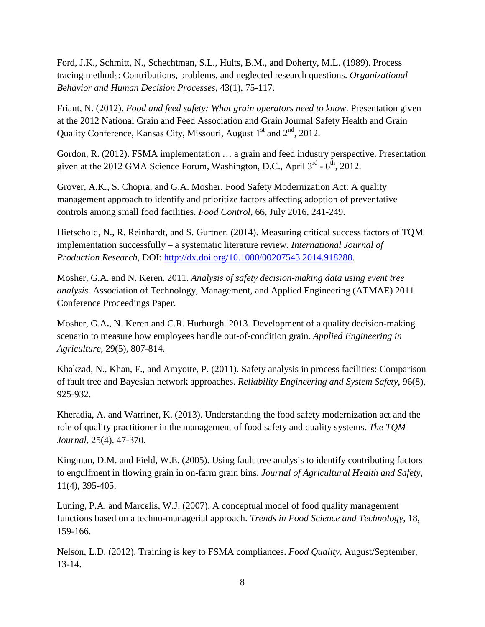Ford, J.K., Schmitt, N., Schechtman, S.L., Hults, B.M., and Doherty, M.L. (1989). Process tracing methods: Contributions, problems, and neglected research questions. *Organizational Behavior and Human Decision Processes*, 43(1), 75-117.

Friant, N. (2012). *Food and feed safety: What grain operators need to know*. Presentation given at the 2012 National Grain and Feed Association and Grain Journal Safety Health and Grain Quality Conference, Kansas City, Missouri, August 1<sup>st</sup> and 2<sup>nd</sup>, 2012.

Gordon, R. (2012). FSMA implementation … a grain and feed industry perspective. Presentation given at the 2012 GMA Science Forum, Washington, D.C., April  $3^{rd}$  -  $6^{th}$ , 2012.

Grover, A.K., S. Chopra, and G.A. Mosher. Food Safety Modernization Act: A quality management approach to identify and prioritize factors affecting adoption of preventative controls among small food facilities. *Food Control*, 66, July 2016, 241-249.

Hietschold, N., R. Reinhardt, and S. Gurtner. (2014). Measuring critical success factors of TQM implementation successfully – a systematic literature review. *International Journal of Production Research*, DOI: [http://dx.doi.org/10.1080/00207543.2014.918288.](http://dx.doi.org/10.1080/00207543.2014.918288)

Mosher, G.A. and N. Keren. 2011. *Analysis of safety decision-making data using event tree analysis.* Association of Technology, Management, and Applied Engineering (ATMAE) 2011 Conference Proceedings Paper.

Mosher, G.A**.**, N. Keren and C.R. Hurburgh. 2013. Development of a quality decision-making scenario to measure how employees handle out-of-condition grain. *Applied Engineering in Agriculture*, 29(5), 807-814.

Khakzad, N., Khan, F., and Amyotte, P. (2011). Safety analysis in process facilities: Comparison of fault tree and Bayesian network approaches. *Reliability Engineering and System Safety*, 96(8), 925-932.

Kheradia, A. and Warriner, K. (2013). Understanding the food safety modernization act and the role of quality practitioner in the management of food safety and quality systems. *The TQM Journal*, 25(4), 47-370.

Kingman, D.M. and Field, W.E. (2005). Using fault tree analysis to identify contributing factors to engulfment in flowing grain in on-farm grain bins. *Journal of Agricultural Health and Safety*, 11(4), 395-405.

Luning, P.A. and Marcelis, W.J. (2007). A conceptual model of food quality management functions based on a techno-managerial approach. *Trends in Food Science and Technology*, 18, 159-166.

Nelson, L.D. (2012). Training is key to FSMA compliances. *Food Quality*, August/September, 13-14.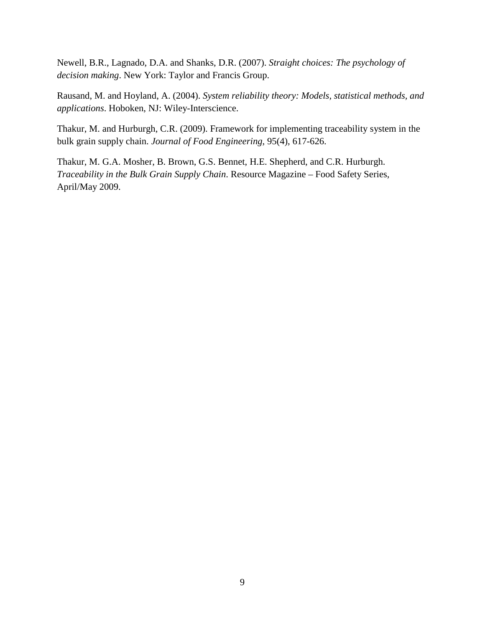Newell, B.R., Lagnado, D.A. and Shanks, D.R. (2007). *Straight choices: The psychology of decision making*. New York: Taylor and Francis Group.

Rausand, M. and Hoyland, A. (2004). *System reliability theory: Models, statistical methods, and applications*. Hoboken, NJ: Wiley-Interscience.

Thakur, M. and Hurburgh, C.R. (2009). Framework for implementing traceability system in the bulk grain supply chain. *Journal of Food Engineering*, 95(4), 617-626.

Thakur, M. G.A. Mosher, B. Brown, G.S. Bennet, H.E. Shepherd, and C.R. Hurburgh. *Traceability in the Bulk Grain Supply Chain*. Resource Magazine – Food Safety Series, April/May 2009.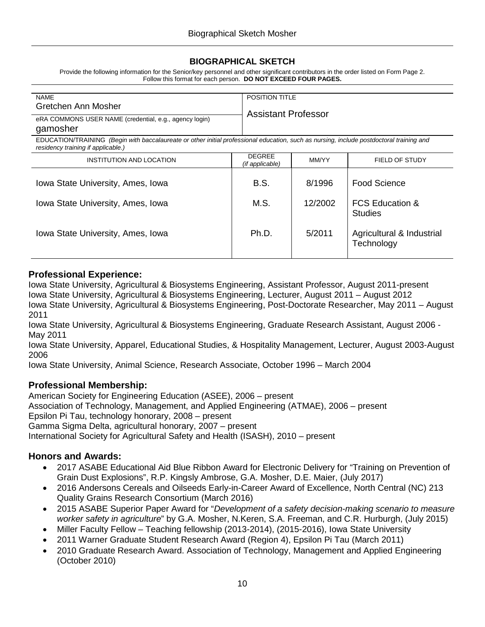#### **BIOGRAPHICAL SKETCH**

Provide the following information for the Senior/key personnel and other significant contributors in the order listed on Form Page 2. Follow this format for each person. **DO NOT EXCEED FOUR PAGES.**

| <b>NAME</b>                                                                                                                                                                    |                                  | <b>POSITION TITLE</b>      |                            |  |  |
|--------------------------------------------------------------------------------------------------------------------------------------------------------------------------------|----------------------------------|----------------------------|----------------------------|--|--|
| Gretchen Ann Mosher                                                                                                                                                            |                                  |                            |                            |  |  |
|                                                                                                                                                                                |                                  | <b>Assistant Professor</b> |                            |  |  |
| eRA COMMONS USER NAME (credential, e.g., agency login)                                                                                                                         |                                  |                            |                            |  |  |
| gamosher                                                                                                                                                                       |                                  |                            |                            |  |  |
| EDUCATION/TRAINING (Begin with baccalaureate or other initial professional education, such as nursing, include postdoctoral training and<br>residency training if applicable.) |                                  |                            |                            |  |  |
| INSTITUTION AND LOCATION                                                                                                                                                       | <b>DEGREE</b><br>(if applicable) | MM/YY                      | FIELD OF STUDY             |  |  |
|                                                                                                                                                                                |                                  |                            |                            |  |  |
| Iowa State University, Ames, Iowa                                                                                                                                              | B.S.                             | 8/1996                     | Food Science               |  |  |
|                                                                                                                                                                                |                                  |                            |                            |  |  |
| Iowa State University, Ames, Iowa                                                                                                                                              | M.S.                             | 12/2002                    | <b>FCS Education &amp;</b> |  |  |
|                                                                                                                                                                                |                                  |                            |                            |  |  |
|                                                                                                                                                                                |                                  |                            | <b>Studies</b>             |  |  |
|                                                                                                                                                                                |                                  |                            |                            |  |  |
| Iowa State University, Ames, Iowa                                                                                                                                              | Ph.D.                            | 5/2011                     | Agricultural & Industrial  |  |  |
|                                                                                                                                                                                |                                  |                            | Technology                 |  |  |
|                                                                                                                                                                                |                                  |                            |                            |  |  |

#### **Professional Experience:**

Iowa State University, Agricultural & Biosystems Engineering, Assistant Professor, August 2011-present Iowa State University, Agricultural & Biosystems Engineering, Lecturer, August 2011 – August 2012 Iowa State University, Agricultural & Biosystems Engineering, Post-Doctorate Researcher, May 2011 – August 2011

Iowa State University, Agricultural & Biosystems Engineering, Graduate Research Assistant, August 2006 - May 2011

Iowa State University, Apparel, Educational Studies, & Hospitality Management, Lecturer, August 2003-August 2006

Iowa State University, Animal Science, Research Associate, October 1996 – March 2004

#### **Professional Membership:**

American Society for Engineering Education (ASEE), 2006 – present Association of Technology, Management, and Applied Engineering (ATMAE), 2006 – present Epsilon Pi Tau, technology honorary, 2008 – present Gamma Sigma Delta, agricultural honorary, 2007 – present International Society for Agricultural Safety and Health (ISASH), 2010 – present

#### **Honors and Awards:**

- 2017 ASABE Educational Aid Blue Ribbon Award for Electronic Delivery for "Training on Prevention of Grain Dust Explosions", R.P. Kingsly Ambrose, G.A. Mosher, D.E. Maier, (July 2017)
- 2016 Andersons Cereals and Oilseeds Early-in-Career Award of Excellence, North Central (NC) 213 Quality Grains Research Consortium (March 2016)
- 2015 ASABE Superior Paper Award for "*Development of a safety decision-making scenario to measure worker safety in agriculture*" by G.A. Mosher, N.Keren, S.A. Freeman, and C.R. Hurburgh, (July 2015)
- Miller Faculty Fellow Teaching fellowship (2013-2014), (2015-2016), Iowa State University
- 2011 Warner Graduate Student Research Award (Region 4), Epsilon Pi Tau (March 2011)
- 2010 Graduate Research Award. Association of Technology, Management and Applied Engineering (October 2010)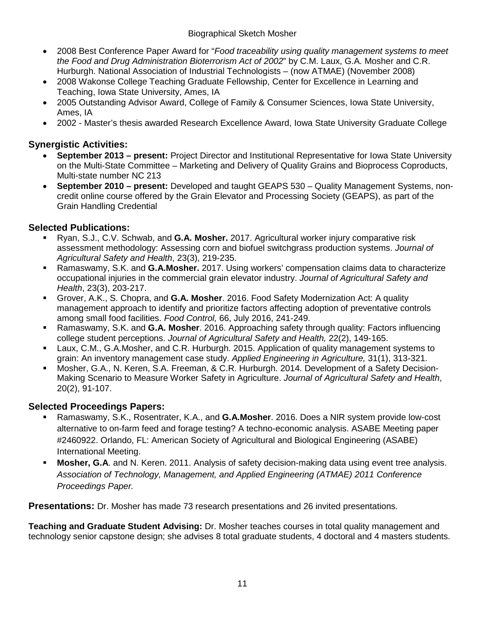#### Biographical Sketch Mosher

- 2008 Best Conference Paper Award for "*Food traceability using quality management systems to meet the Food and Drug Administration Bioterrorism Act of 2002*" by C.M. Laux, G.A. Mosher and C.R. Hurburgh. National Association of Industrial Technologists – (now ATMAE) (November 2008)
- 2008 Wakonse College Teaching Graduate Fellowship, Center for Excellence in Learning and Teaching, Iowa State University, Ames, IA
- 2005 Outstanding Advisor Award, College of Family & Consumer Sciences, Iowa State University, Ames, IA
- 2002 Master's thesis awarded Research Excellence Award, Iowa State University Graduate College

### **Synergistic Activities:**

- **September 2013 – present:** Project Director and Institutional Representative for Iowa State University on the Multi-State Committee – Marketing and Delivery of Quality Grains and Bioprocess Coproducts, Multi-state number NC 213
- **September 2010 – present:** Developed and taught GEAPS 530 Quality Management Systems, noncredit online course offered by the Grain Elevator and Processing Society (GEAPS), as part of the Grain Handling Credential

### **Selected Publications:**

- Ryan, S.J., C.V. Schwab, and **G.A. Mosher.** 2017. Agricultural worker injury comparative risk assessment methodology: Assessing corn and biofuel switchgrass production systems. *Journal of Agricultural Safety and Health*, 23(3), 219-235.
- Ramaswamy, S.K. and **G.A.Mosher.** 2017. Using workers' compensation claims data to characterize occupational injuries in the commercial grain elevator industry. *Journal of Agricultural Safety and Health*, 23(3), 203-217.
- Grover, A.K., S. Chopra, and **G.A. Mosher**. 2016. Food Safety Modernization Act: A quality management approach to identify and prioritize factors affecting adoption of preventative controls among small food facilities. *Food Control,* 66, July 2016, 241-249.
- Ramaswamy, S.K. and **G.A. Mosher**. 2016. Approaching safety through quality: Factors influencing college student perceptions. *Journal of Agricultural Safety and Health,* 22(2), 149-165.
- Laux, C.M., G.A.Mosher, and C.R. Hurburgh. 2015. Application of quality management systems to grain: An inventory management case study. *Applied Engineering in Agriculture,* 31(1), 313-321.
- Mosher, G.A., N. Keren, S.A. Freeman, & C.R. Hurburgh. 2014. Development of a Safety Decision-Making Scenario to Measure Worker Safety in Agriculture. *Journal of Agricultural Safety and Health*, 20(2), 91-107.

#### **Selected Proceedings Papers:**

- Ramaswamy, S.K., Rosentrater, K.A., and **G.A.Mosher**. 2016. Does a NIR system provide low-cost alternative to on-farm feed and forage testing? A techno-economic analysis. ASABE Meeting paper #2460922. Orlando, FL: American Society of Agricultural and Biological Engineering (ASABE) International Meeting.
- **Mosher, G.A**. and N. Keren. 2011. Analysis of safety decision-making data using event tree analysis. *Association of Technology, Management, and Applied Engineering (ATMAE) 2011 Conference Proceedings Paper.*

**Presentations:** Dr. Mosher has made 73 research presentations and 26 invited presentations.

**Teaching and Graduate Student Advising:** Dr. Mosher teaches courses in total quality management and technology senior capstone design; she advises 8 total graduate students, 4 doctoral and 4 masters students.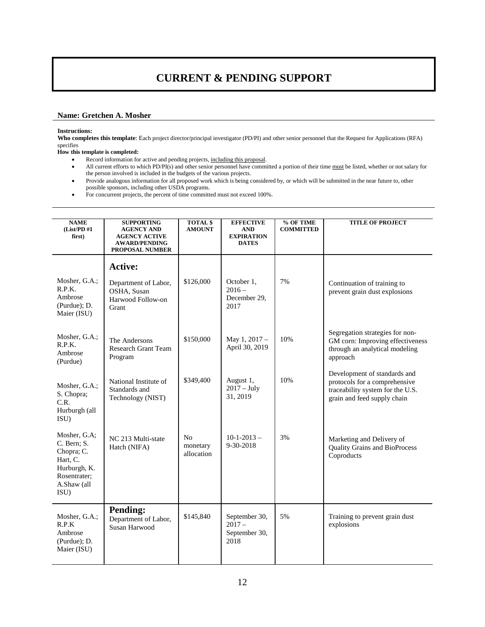## **CURRENT & PENDING SUPPORT**

#### **Name: Gretchen A. Mosher**

#### **Instructions:**

**Who completes this template**: Each project director/principal investigator (PD/PI) and other senior personnel that the Request for Applications (RFA) specifies

#### **How this template is completed:**

- Record information for active and pending projects, including this proposal.
- All current efforts to which PD/PI(s) and other senior personnel have committed a portion of their time must be listed, whether or not salary for the person involved is included in the budgets of the various projects.
- Provide analogous information for all proposed work which is being considered by, or which will be submitted in the near future to, other possible sponsors, including other USDA programs.
- For concurrent projects, the percent of time committed must not exceed 100%.

| <b>NAME</b><br>(List/PD #1)<br>first)                                                                        | <b>SUPPORTING</b><br><b>AGENCY AND</b><br><b>AGENCY ACTIVE</b><br><b>AWARD/PENDING</b><br><b>PROPOSAL NUMBER</b> | <b>TOTAL</b> \$<br><b>AMOUNT</b>         | <b>EFFECTIVE</b><br><b>AND</b><br><b>EXPIRATION</b><br><b>DATES</b> | % OF TIME<br><b>COMMITTED</b> | <b>TITLE OF PROJECT</b>                                                                                                          |
|--------------------------------------------------------------------------------------------------------------|------------------------------------------------------------------------------------------------------------------|------------------------------------------|---------------------------------------------------------------------|-------------------------------|----------------------------------------------------------------------------------------------------------------------------------|
|                                                                                                              | <b>Active:</b>                                                                                                   |                                          |                                                                     |                               |                                                                                                                                  |
| Mosher, G.A.;<br>R.P.K.<br>Ambrose<br>(Purdue); D.<br>Maier (ISU)                                            | Department of Labor,<br>OSHA, Susan<br>Harwood Follow-on<br>Grant                                                | \$126,000                                | October 1,<br>$2016 -$<br>December 29,<br>2017                      | 7%                            | Continuation of training to<br>prevent grain dust explosions                                                                     |
| Mosher, G.A.;<br>R.P.K.<br>Ambrose<br>(Purdue)                                                               | The Andersons<br><b>Research Grant Team</b><br>Program                                                           | \$150,000                                | May 1, 2017 -<br>April 30, 2019                                     | 10%                           | Segregation strategies for non-<br>GM corn: Improving effectiveness<br>through an analytical modeling<br>approach                |
| Mosher, G.A.;<br>S. Chopra;<br>C.R.<br>Hurburgh (all<br>ISU)                                                 | National Institute of<br>Standards and<br>Technology (NIST)                                                      | \$349,400                                | August 1,<br>$2017 - July$<br>31, 2019                              | 10%                           | Development of standards and<br>protocols for a comprehensive<br>traceability system for the U.S.<br>grain and feed supply chain |
| Mosher, G.A;<br>C. Bern; S.<br>Chopra; C.<br>Hart, C.<br>Hurburgh, K.<br>Rosentrater;<br>A.Shaw (all<br>ISU) | NC 213 Multi-state<br>Hatch (NIFA)                                                                               | N <sub>o</sub><br>monetary<br>allocation | $10-1-2013-$<br>9-30-2018                                           | 3%                            | Marketing and Delivery of<br><b>Quality Grains and BioProcess</b><br>Coproducts                                                  |
| Mosher, G.A.;<br>R.P.K<br>Ambrose<br>(Purdue); D.<br>Maier (ISU)                                             | <b>Pending:</b><br>Department of Labor,<br>Susan Harwood                                                         | \$145,840                                | September 30,<br>$2017 -$<br>September 30,<br>2018                  | 5%                            | Training to prevent grain dust<br>explosions                                                                                     |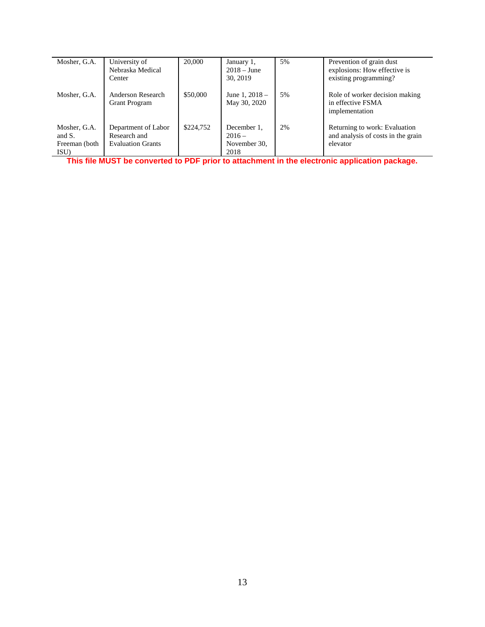| Mosher, G.A.                                    | University of<br>Nebraska Medical<br>Center                     | 20,000    | January 1,<br>$2018 - June$<br>30, 2019         | 5% | Prevention of grain dust<br>explosions: How effective is<br>existing programming? |
|-------------------------------------------------|-----------------------------------------------------------------|-----------|-------------------------------------------------|----|-----------------------------------------------------------------------------------|
| Mosher, G.A.                                    | Anderson Research<br><b>Grant Program</b>                       | \$50,000  | June 1, $2018 -$<br>May 30, 2020                | 5% | Role of worker decision making<br>in effective FSMA<br>implementation             |
| Mosher, G.A.<br>and S.<br>Freeman (both<br>ISU) | Department of Labor<br>Research and<br><b>Evaluation Grants</b> | \$224,752 | December 1.<br>$2016 -$<br>November 30,<br>2018 | 2% | Returning to work: Evaluation<br>and analysis of costs in the grain<br>elevator   |

**This file MUST be converted to PDF prior to attachment in the electronic application package.**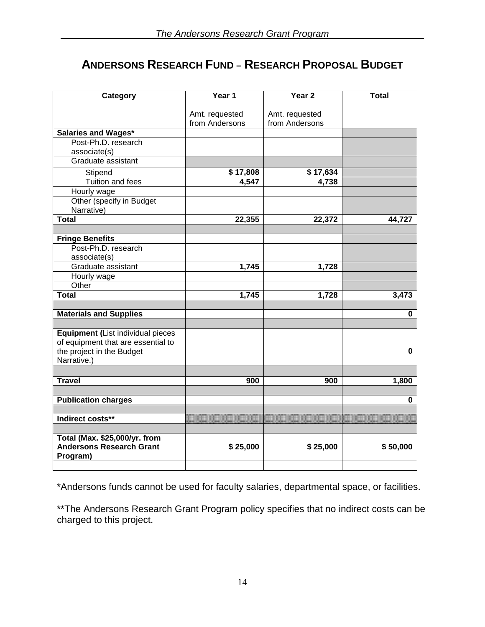# **ANDERSONS RESEARCH FUND – RESEARCH PROPOSAL BUDGET**

| Category                           | Year 1         | Year <sub>2</sub> | <b>Total</b> |
|------------------------------------|----------------|-------------------|--------------|
|                                    | Amt. requested | Amt. requested    |              |
|                                    | from Andersons | from Andersons    |              |
| <b>Salaries and Wages*</b>         |                |                   |              |
| Post-Ph.D. research                |                |                   |              |
| associate(s)                       |                |                   |              |
| Graduate assistant                 |                |                   |              |
| Stipend                            | \$17,808       | \$17,634          |              |
| <b>Tuition and fees</b>            | 4,547          | 4,738             |              |
| Hourly wage                        |                |                   |              |
| Other (specify in Budget           |                |                   |              |
| Narrative)                         |                |                   |              |
| <b>Total</b>                       | 22,355         | 22,372            | 44,727       |
|                                    |                |                   |              |
| <b>Fringe Benefits</b>             |                |                   |              |
| Post-Ph.D. research                |                |                   |              |
| associate(s)                       |                |                   |              |
| Graduate assistant                 | 1,745          | 1,728             |              |
| Hourly wage                        |                |                   |              |
| Other                              |                |                   |              |
| <b>Total</b>                       | 1,745          | 1,728             | 3,473        |
|                                    |                |                   |              |
| <b>Materials and Supplies</b>      |                |                   | 0            |
| Equipment (List individual pieces  |                |                   |              |
| of equipment that are essential to |                |                   |              |
| the project in the Budget          |                |                   | 0            |
| Narrative.)                        |                |                   |              |
|                                    |                |                   |              |
| <b>Travel</b>                      | 900            | 900               | 1,800        |
|                                    |                |                   |              |
| <b>Publication charges</b>         |                |                   | 0            |
| Indirect costs**                   |                |                   |              |
|                                    |                |                   |              |
| Total (Max. \$25,000/yr. from      |                |                   |              |
| <b>Andersons Research Grant</b>    | \$25,000       | \$25,000          | \$50,000     |
| Program)                           |                |                   |              |
|                                    |                |                   |              |

\*Andersons funds cannot be used for faculty salaries, departmental space, or facilities.

\*\*The Andersons Research Grant Program policy specifies that no indirect costs can be charged to this project.